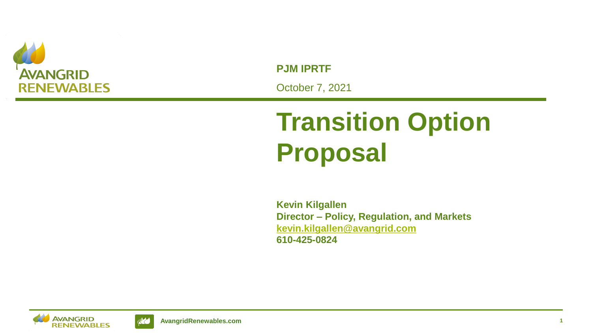

**PJM IPRTF** October 7, 2021

## **Transition Option Proposal**

**Kevin Kilgallen Director – Policy, Regulation, and Markets [kevin.kilgallen@avangrid.com](mailto:kevin.kilgallen@avangrid.com) 610-425-0824**



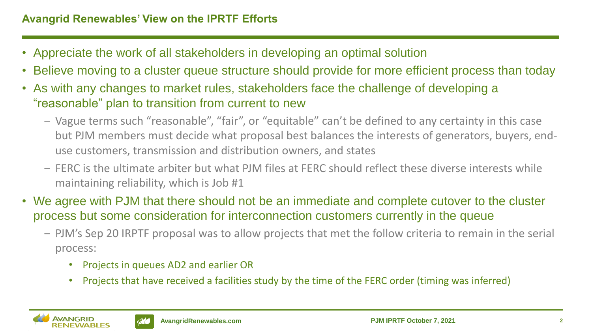- Appreciate the work of all stakeholders in developing an optimal solution
- Believe moving to a cluster queue structure should provide for more efficient process than today
- As with any changes to market rules, stakeholders face the challenge of developing a "reasonable" plan to transition from current to new
	- ‒ Vague terms such "reasonable", "fair", or "equitable" can't be defined to any certainty in this case but PJM members must decide what proposal best balances the interests of generators, buyers, enduse customers, transmission and distribution owners, and states
	- ‒ FERC is the ultimate arbiter but what PJM files at FERC should reflect these diverse interests while maintaining reliability, which is Job #1
- We agree with PJM that there should not be an immediate and complete cutover to the cluster process but some consideration for interconnection customers currently in the queue
	- ‒ PJM's Sep 20 IRPTF proposal was to allow projects that met the follow criteria to remain in the serial process:
		- Projects in queues AD2 and earlier OR
		- Projects that have received a facilities study by the time of the FERC order (timing was inferred)

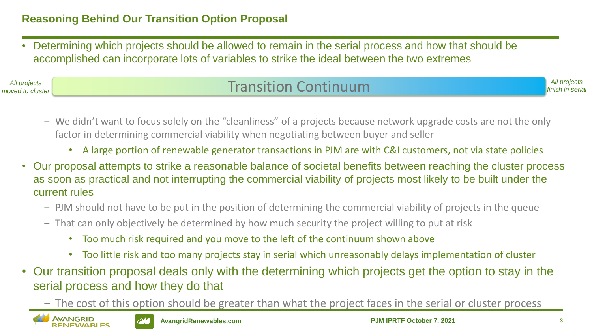• Determining which projects should be allowed to remain in the serial process and how that should be accomplished can incorporate lots of variables to strike the ideal between the two extremes

## *All projects* and the cluster of the cluster of the cluster of the cluster of the cluster of the cluster of the cluster of the cluster of the cluster of the cluster of the cluster of the cluster of the cluster of the clus

*All projects finish in serial*

- ‒ We didn't want to focus solely on the "cleanliness" of a projects because network upgrade costs are not the only factor in determining commercial viability when negotiating between buyer and seller
	- A large portion of renewable generator transactions in PJM are with C&I customers, not via state policies
- Our proposal attempts to strike a reasonable balance of societal benefits between reaching the cluster process as soon as practical and not interrupting the commercial viability of projects most likely to be built under the current rules
	- ‒ PJM should not have to be put in the position of determining the commercial viability of projects in the queue
	- ‒ That can only objectively be determined by how much security the project willing to put at risk
		- Too much risk required and you move to the left of the continuum shown above
		- Too little risk and too many projects stay in serial which unreasonably delays implementation of cluster
- Our transition proposal deals only with the determining which projects get the option to stay in the serial process and how they do that
	- ‒ The cost of this option should be greater than what the project faces in the serial or cluster process



*moved to cluster*